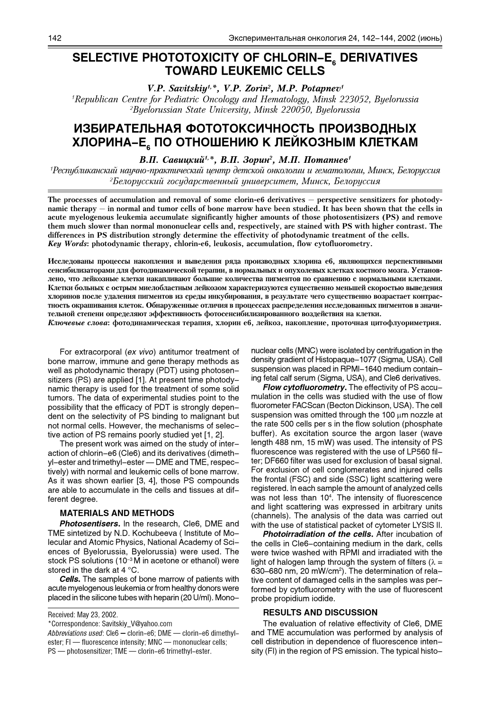## SELECTIVE PHOTOTOXICITY OF CHLORIN-E DERIVATIVES **TOWARD LEUKEMIC CELLS**

V.P. Savitskiy<sup>1,\*</sup>, V.P. Zorin<sup>2</sup>, M.P. Potapnev<sup>1</sup>

<sup>1</sup>Republican Centre for Pediatric Oncology and Hematology, Minsk 223052, Byelorussia <sup>2</sup>Byelorussian State University, Minsk 220050, Byelorussia

# ИЗБИРАТЕЛЬНАЯ ФОТОТОКСИЧНОСТЬ ПРОИЗВОДНЫХ ХЛОРИНА-Е, ПО ОТНОШЕНИЮ К ЛЕЙКОЗНЫМ КЛЕТКАМ

В.П. Савицкий<sup>1,\*</sup>, В.П. Зорин<sup>2</sup>, М.П. Потапнев<sup>1</sup>

Республиканский научно-практический центр детской онкологии и гематологии, Минск, Белоруссия  ${}^{2}$ Белорусский государственный университет, Минск, Белоруссия

The processes of accumulation and removal of some clorin-e6 derivatives  $-$  perspective sensitizers for photodynamic therapy – in normal and tumor cells of bone marrow have been studied. It has been shown that the cells in acute myelogenous leukemia accumulate significantly higher amounts of those photosentisizers (PS) and remove them much slower than normal mononuclear cells and, respectively, are stained with PS with higher contrast. The differences in PS distribution strongly determine the effectivity of photodynamic treatment of the cells. Key Words: photodynamic therapy, chlorin-e6, leukosis, accumulation, flow cytofluorometry.

Исследованы процессы накопления и выведения ряда производных хлорина е6, являющихся перспективными сенсибилизаторами для фотодинамической терапии, в нормальных и опухолевых клетках костного мозга. Установлено, что лейкозные клетки накапливают большие количества пигментов по сравнению с нормальными клетками. Клетки больных с острым миелобластным лейкозом характеризуются существенно меньшей скоростью выведения хлоринов после удаления пигментов из среды инкубирования, в результате чего существенно возрастает контрастность окрашивания клеток. Обнаруженные отличия в процессах распределения исследованных пигментов в значительной степени определяют эффективность фотосенсибилизированного воздействия на клетки.

Ключевые слова: фотодинамическая терапия, хлорин е6, лейкоз, накопление, проточная цитофлуориметрия.

For extracorporal (ex vivo) antitumor treatment of bone marrow, immune and gene therapy methods as well as photodynamic therapy (PDT) using photosensitizers (PS) are applied [1]. At present time photodynamic therapy is used for the treatment of some solid tumors. The data of experimental studies point to the possibility that the efficacy of PDT is strongly dependent on the selectivity of PS binding to malignant but not normal cells. However, the mechanisms of selective action of PS remains poorly studied yet [1, 2].

The present work was aimed on the study of interaction of chlorin-e6 (Cle6) and its derivatives (dimethyl-ester and trimethyl-ester - DME and TME, respectively) with normal and leukemic cells of bone marrow. As it was shown earlier [3, 4], those PS compounds are able to accumulate in the cells and tissues at different degree.

## **MATERIALS AND METHODS**

Photosentisers. In the research, Cle6, DME and TME sintetized by N.D. Kochubeeva ( Institute of Molecular and Atomic Physics, National Academy of Sciences of Byelorussia, Byelorussia) were used. The stock PS solutions (10<sup>-3</sup> M in acetone or ethanol) were stored in the dark at 4 °C.

**Cells.** The samples of bone marrow of patients with acute myelogenous leukemia or from healthy donors were placed in the silicone tubes with heparin (20 U/ml). Mono-

Received: May 23, 2002.

Abbreviations used: Cle6 - clorin-e6; DME - clorin-e6 dimethylester; FI - fluorescence intensity; MNC - mononuclear cells; PS - photosensitizer: TME - clorin-e6 trimethyl-ester.

nuclear cells (MNC) were isolated by centrifugation in the density gradient of Histopaque-1077 (Sigma, USA). Cell suspension was placed in RPMI-1640 medium containing fetal calf serum (Sigma, USA), and Cle6 derivatives.

**Flow cytofluorometry.** The effectivity of PS accumulation in the cells was studied with the use of flow fluorometer FACScan (Becton Dickinson, USA). The cell suspension was omitted through the 100  $\mu$ m nozzle at the rate 500 cells per s in the flow solution (phosphate buffer). As excitation source the argon laser (wave length 488 nm, 15 mW) was used. The intensity of PS fluorescence was registered with the use of LP560 filter; DF660 filter was used for exclusion of basal signal. For exclusion of cell conglomerates and injured cells the frontal (FSC) and side (SSC) light scattering were registered. In each sample the amount of analyzed cells was not less than 10<sup>4</sup>. The intensity of fluorescence and light scattering was expressed in arbitrary units (channels). The analysis of the data was carried out with the use of statistical packet of cytometer LYSIS II.

Photoirradiation of the cells. After incubation of the cells in Cle6-containing medium in the dark, cells were twice washed with RPMI and irradiated with the light of halogen lamp through the system of filters ( $\lambda =$ 630-680 nm, 20 mW/cm<sup>2</sup>). The determination of relative content of damaged cells in the samples was performed by cytofluorometry with the use of fluorescent probe propidium iodide.

### **RESULTS AND DISCUSSION**

The evaluation of relative effectivity of Cle6, DME and TME accumulation was performed by analysis of cell distribution in dependence of fluorescence intensity (FI) in the region of PS emission. The typical histo-

<sup>\*</sup>Correspondence: Savitskiy\_V@yahoo.com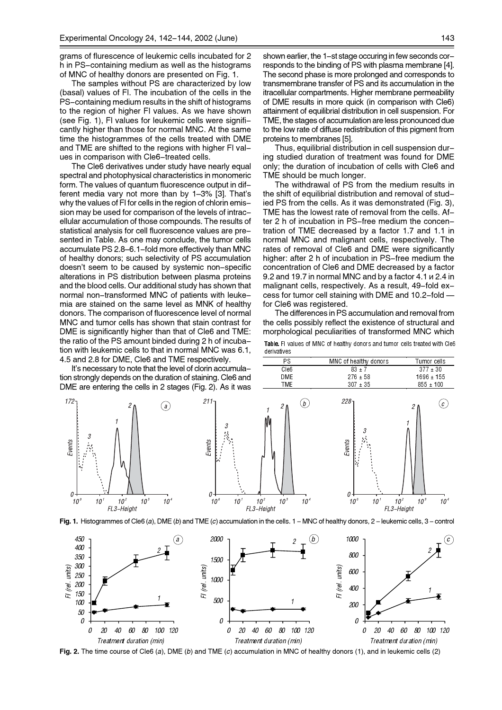grams of flurescence of leukemic cells incubated for 2 h in PS-containing medium as well as the histograms of MNC of healthy donors are presented on Fig. 1.

The samples without PS are characterized by low (basal) values of FI. The incubation of the cells in the PS-containing medium results in the shift of histograms to the region of higher FI values. As we have shown (see Fig. 1), FI values for leukemic cells were significantly higher than those for normal MNC. At the same time the histogrammes of the cells treated with DME and TME are shifted to the regions with higher FI values in comparison with Cle6-treated cells.

The Cle6 derivatives under study have nearly equal spectral and photophysical characteristics in monomeric form. The values of quantum fluorescence output in different media vary not more than by 1-3% [3]. That's why the values of FI for cells in the region of chlorin emission may be used for comparison of the levels of intracellular accumulation of those compounds. The results of statistical analysis for cell fluorescence values are presented in Table. As one may conclude, the tumor cells accumulate PS 2.8-6.1-fold more effectively than MNC of healthy donors; such selectivity of PS accumulation doesn't seem to be caused by systemic non-specific alterations in PS distribution between plasma proteins and the blood cells. Our additional study has shown that normal non-transformed MNC of patients with leukemia are stained on the same level as MNK of healthy donors. The comparison of fluorescence level of normal MNC and tumor cells has shown that stain contrast for DME is significantly higher than that of Cle6 and TME: the ratio of the PS amount binded during 2 h of incubation with leukemic cells to that in normal MNC was 6.1. 4.5 and 2.8 for DME, Cle6 and TME respectively.

It's necessary to note that the level of clorin accumulation s **DMF** 

172

Events

 $\theta$  - $\mathcal{U}$  shown earlier, the 1-st stage occuring in few seconds corresponds to the binding of PS with plasma membrane [4]. The second phase is more prolonged and corresponds to transmembrane transfer of PS and its accumulation in the itracellular compartments. Higher membrane permeability of DME results in more quick (in comparison with Cle6) attainment of equilibrial distribution in cell suspension. For TME, the stages of accumulation are less pronounced due to the low rate of diffuse redistribution of this pigment from proteins to membranes [5].

Thus, equilibrial distribution in cell suspension during studied duration of treatment was found for DME only; the duration of incubation of cells with Cle6 and TME should be much longer.

The withdrawal of PS from the medium results in the shift of equilibrial distribution and removal of studied PS from the cells. As it was demonstrated (Fig. 3), TME has the lowest rate of removal from the cells. After 2 h of incubation in PS-free medium the concentration of TME decreased by a factor 1.7 and 1.1 in normal MNC and malignant cells, respectively. The rates of removal of Cle6 and DME were significantly higher: after 2 h of incubation in PS-free medium the concentration of Cle6 and DME decreased by a factor 9.2 and 19.7 in normal MNC and by a factor 4.1  $\mu$  2.4 in malignant cells, respectively. As a result, 49-fold excess for tumor cell staining with DME and 10.2-fold for Cle6 was registered.

The differences in PS accumulation and removal from the cells possibly reflect the existence of structural and morphological peculiarities of transformed MNC which

Table. Fl values of MNC of healthy donors and tumor cells treated with Cle6 derivatives MNC of healthy donors

 $83 \pm 7$ 

Tumor cells

 $377 \pm 30$ 

| trongly depends on the duration of staining. Cle6 and<br>are entering the cells in 2 stages (Fig. 2). As it was                             | DME<br><b>TME</b>                                                                                | $276 \pm 58$<br>$307 \pm 35$                                     | 1696 ± 155<br>$855 \pm 100$                                     |
|---------------------------------------------------------------------------------------------------------------------------------------------|--------------------------------------------------------------------------------------------------|------------------------------------------------------------------|-----------------------------------------------------------------|
| 211<br>$\mathcal{A}$<br>3<br>Events<br>Áś<br>W<br>Ο-<br>10 <sup>3</sup><br>10 <sup>2</sup><br>$10^{\circ}$<br>10 <sup>4</sup><br>FL3-Height | b.<br>$10^{\circ}$<br>10 <sup>3</sup><br>$10^2$<br>10 <sup>4</sup><br>$10^{\circ}$<br>FL3-Height | $228 -$<br>۸.<br>Events<br>Ω.<br>$10^{\circ}$<br>10 <sup>1</sup> | $\mathcal{C}$ )<br>10 <sup>2</sup><br>10 <sup>4</sup><br>$10^3$ |
|                                                                                                                                             |                                                                                                  | FL3-Height                                                       |                                                                 |

P.S

 $C$ lef

Fig. 1. Histogrammes of Cle6 (a), DME (b) and TME (c) accumulation in the cells. 1 - MNC of healthy donors, 2 - leukemic cells, 3 - control



Fig. 2. The time course of Cle6 (a), DME (b) and TME (c) accumulation in MNC of healthy donors (1), and in leukemic cells (2)